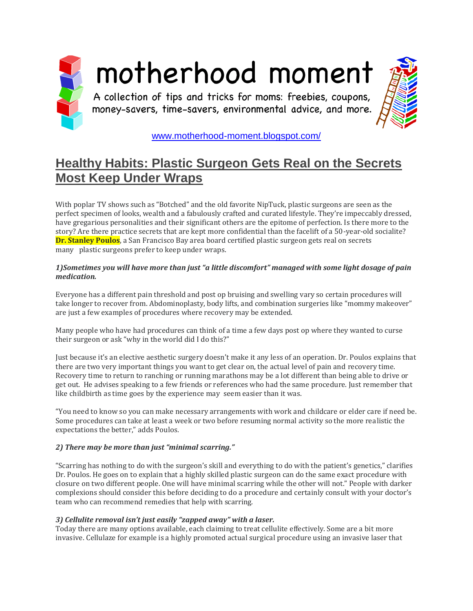

# [www.motherhood-moment.blogspot.com/](http://www.motherhood-moment.blogspot.com/)

# **[Healthy Habits: Plastic Surgeon Gets Real on the Secrets](http://motherhood-moment.blogspot.com/2018/09/healthy-habits-plastic-surgeon-gets.html)  [Most Keep Under Wraps](http://motherhood-moment.blogspot.com/2018/09/healthy-habits-plastic-surgeon-gets.html)**

With poplar TV shows such as "Botched" and the old favorite NipTuck, plastic surgeons are seen as the perfect specimen of looks, wealth and a fabulously crafted and curated lifestyle. They're impeccably dressed, have gregarious personalities and their significant others are the epitome of perfection. Is there more to the story? Are there practice secrets that are kept more confidential than the facelift of a 50-year-old socialite? **Dr. Stanley Poulos**, a San Francisco Bay area board certified plastic surgeon gets real on secrets many plastic surgeons prefer to keep under wraps.

#### *1)Sometimes you will have more than just "a little discomfort" managed with some light dosage of pain medication.*

Everyone has a different pain threshold and post op bruising and swelling vary so certain procedures will take longer to recover from. Abdominoplasty, body lifts, and combination surgeries like "mommy makeover" are just a few examples of procedures where recovery may be extended.

Many people who have had procedures can think of a time a few days post op where they wanted to curse their surgeon or ask "why in the world did I do this?"

Just because it's an elective aesthetic surgery doesn't make it any less of an operation. Dr. Poulos explains that there are two very important things you want to get clear on, the actual level of pain and recovery time. Recovery time to return to ranching or running marathons may be a lot different than being able to drive or get out. He advises speaking to a few friends or references who had the same procedure. Just remember that like childbirth as time goes by the experience may seem easier than it was.

"You need to know so you can make necessary arrangements with work and childcare or elder care if need be. Some procedures can take at least a week or two before resuming normal activity so the more realistic the expectations the better," adds Poulos.

## *2) There may be more than just "minimal scarring."*

"Scarring has nothing to do with the surgeon's skill and everything to do with the patient's genetics," clarifies Dr. Poulos. He goes on to explain that a highly skilled plastic surgeon can do the same exact procedure with closure on two different people. One will have minimal scarring while the other will not." People with darker complexions should consider this before deciding to do a procedure and certainly consult with your doctor's team who can recommend remedies that help with scarring.

## *3) Cellulite removal isn't just easily "zapped away" with a laser.*

Today there are many options available, each claiming to treat cellulite effectively. Some are a bit more invasive. Cellulaze for example is a highly promoted actual surgical procedure using an invasive laser that